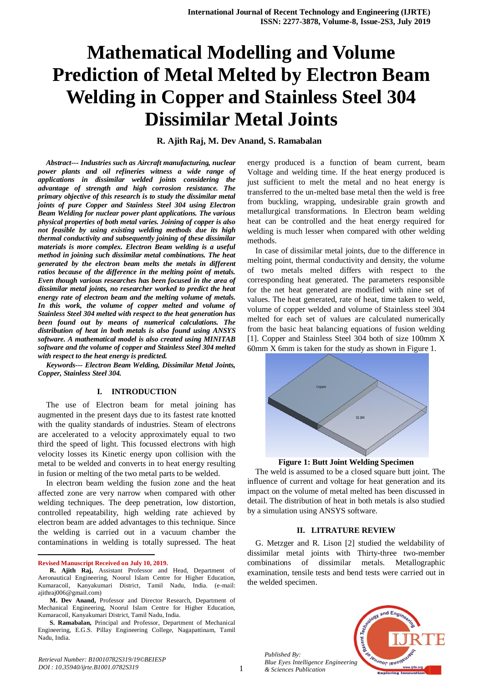# **Mathematical Modelling and Volume Prediction of Metal Melted by Electron Beam Welding in Copper and Stainless Steel 304 Dissimilar Metal Joints**

## **R. Ajith Raj, M. Dev Anand, S. Ramabalan**

*Abstract--- Industries such as Aircraft manufacturing, nuclear power plants and oil refineries witness a wide range of applications in dissimilar welded joints considering the advantage of strength and high corrosion resistance. The primary objective of this research is to study the dissimilar metal joints of pure Copper and Stainless Steel 304 using Electron Beam Welding for nuclear power plant applications. The various physical properties of both metal varies. Joining of copper is also not feasible by using existing welding methods due its high thermal conductivity and subsequently joining of these dissimilar materials is more complex. Electron Beam welding is a useful method in joining such dissimilar metal combinations. The heat generated by the electron beam melts the metals in different ratios because of the difference in the melting point of metals. Even though various researches has been focused in the area of dissimilar metal joints, no researcher worked to predict the heat energy rate of electron beam and the melting volume of metals. In this work, the volume of copper melted and volume of Stainless Steel 304 melted with respect to the heat generation has been found out by means of numerical calculations. The distribution of heat in both metals is also found using ANSYS software. A mathematical model is also created using MINITAB software and the volume of copper and Stainless Steel 304 melted with respect to the heat energy is predicted.*

*Keywords--- Electron Beam Welding, Dissimilar Metal Joints, Copper, Stainless Steel 304.*

#### **I. INTRODUCTION**

The use of Electron beam for metal joining has augmented in the present days due to its fastest rate knotted with the quality standards of industries. Steam of electrons are accelerated to a velocity approximately equal to two third the speed of light. This focussed electrons with high velocity losses its Kinetic energy upon collision with the metal to be welded and converts in to heat energy resulting in fusion or melting of the two metal parts to be welded.

In electron beam welding the fusion zone and the heat affected zone are very narrow when compared with other welding techniques. The deep penetration, low distortion, controlled repeatability, high welding rate achieved by electron beam are added advantages to this technique. Since the welding is carried out in a vacuum chamber the contaminations in welding is totally supressed. The heat

**Revised Manuscript Received on July 10, 2019.**

**.** 

*Retrieval Number: B10010782S319/19©BEIESP DOI : 10.35940/ijrte.B1001.0782S319*

energy produced is a function of beam current, beam Voltage and welding time. If the heat energy produced is just sufficient to melt the metal and no heat energy is transferred to the un-melted base metal then the weld is free from buckling, wrapping, undesirable grain growth and metallurgical transformations. In Electron beam welding heat can be controlled and the heat energy required for welding is much lesser when compared with other welding methods.

In case of dissimilar metal joints, due to the difference in melting point, thermal conductivity and density, the volume of two metals melted differs with respect to the corresponding heat generated. The parameters responsible for the net heat generated are modified with nine set of values. The heat generated, rate of heat, time taken to weld, volume of copper welded and volume of Stainless steel 304 melted for each set of values are calculated numerically from the basic heat balancing equations of fusion welding [1]. Copper and Stainless Steel 304 both of size 100mm X 60mm X 6mm is taken for the study as shown in Figure 1.





The weld is assumed to be a closed square butt joint. The influence of current and voltage for heat generation and its impact on the volume of metal melted has been discussed in detail. The distribution of heat in both metals is also studied by a simulation using ANSYS software.

## **II. LITRATURE REVIEW**

G. Metzger and R. Lison [2] studied the weldability of dissimilar metal joints with Thirty-three two-member combinations of dissimilar metals. Metallographic examination, tensile tests and bend tests were carried out in the welded specimen.



*Published By: Blue Eyes Intelligence Engineering & Sciences Publication* 

**R. Ajith Raj,** Assistant Professor and Head, Department of Aeronautical Engineering, Noorul Islam Centre for Higher Education, Kumaracoil, Kanyakumari District, Tamil Nadu, India. (e-mail: ajithraj006@gmail.com)

**M. Dev Anand,** Professor and Director Research, Department of Mechanical Engineering, Noorul Islam Centre for Higher Education, Kumaracoil, Kanyakumari District, Tamil Nadu, India.

**S. Ramabalan,** Principal and Professor, Department of Mechanical Engineering, E.G.S. Pillay Engineering College, Nagapattinam, Tamil Nadu, India.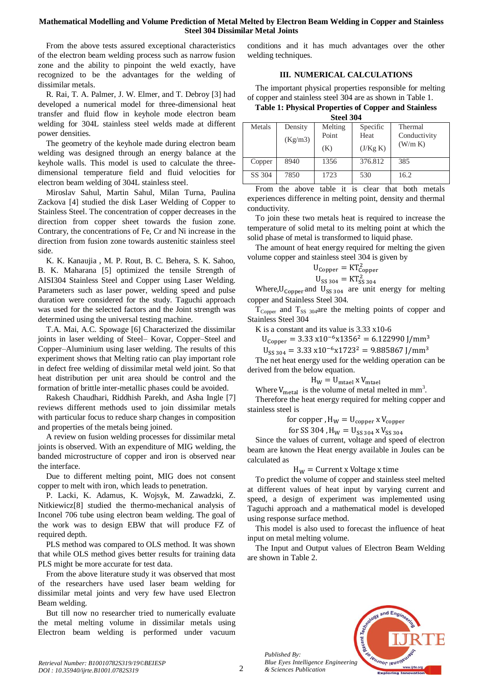## **Mathematical Modelling and Volume Prediction of Metal Melted by Electron Beam Welding in Copper and Stainless Steel 304 Dissimilar Metal Joints**

From the above tests assured exceptional characteristics of the electron beam welding process such as narrow fusion zone and the ability to pinpoint the weld exactly, have recognized to be the advantages for the welding of dissimilar metals.

R. Rai, T. A. Palmer, J. W. Elmer, and T. Debroy [3] had developed a numerical model for three-dimensional heat transfer and fluid flow in keyhole mode electron beam welding for 304L stainless steel welds made at different power densities.

The geometry of the keyhole made during electron beam welding was designed through an energy balance at the keyhole walls. This model is used to calculate the threedimensional temperature field and fluid velocities for electron beam welding of 304L stainless steel.

Miroslav Sahul, Martin Sahul, Milan Turna, Paulina Zackova [4] studied the disk Laser Welding of Copper to Stainless Steel. The concentration of copper decreases in the direction from copper sheet towards the fusion zone. Contrary, the concentrations of Fe, Cr and Ni increase in the direction from fusion zone towards austenitic stainless steel side.

K. K. Kanaujia , M. P. Rout, B. C. Behera, S. K. Sahoo, B. K. Maharana [5] optimized the tensile Strength of AISI304 Stainless Steel and Copper using Laser Welding. Parameters such as laser power, welding speed and pulse duration were considered for the study. Taguchi approach was used for the selected factors and the Joint strength was determined using the universal testing machine.

T.A. Mai, A.C. Spowage [6] Characterized the dissimilar joints in laser welding of Steel– Kovar, Copper–Steel and Copper–Aluminium using laser welding. The results of this experiment shows that Melting ratio can play important role in defect free welding of dissimilar metal weld joint. So that heat distribution per unit area should be control and the formation of brittle inter-metallic phases could be avoided.

Rakesh Chaudhari, Riddhish Parekh, and Asha Ingle [7] reviews different methods used to join dissimilar metals with particular focus to reduce sharp changes in composition and properties of the metals being joined.

A review on fusion welding processes for dissimilar metal joints is observed. With an expenditure of MIG welding, the banded microstructure of copper and iron is observed near the interface.

Due to different melting point, MIG does not consent copper to melt with iron, which leads to penetration.

P. Lacki, K. Adamus, K. Wojsyk, M. Zawadzki, Z. Nitkiewicz[8] studied the thermo-mechanical analysis of Inconel 706 tube using electron beam welding. The goal of the work was to design EBW that will produce FZ of required depth.

PLS method was compared to OLS method. It was shown that while OLS method gives better results for training data PLS might be more accurate for test data.

From the above literature study it was observed that most of the researchers have used laser beam welding for dissimilar metal joints and very few have used Electron Beam welding.

But till now no researcher tried to numerically evaluate the metal melting volume in dissimilar metals using Electron beam welding is performed under vacuum conditions and it has much advantages over the other welding techniques.

## **III. NUMERICAL CALCULATIONS**

The important physical properties responsible for melting of copper and stainless steel 304 are as shown in Table 1.

**Table 1: Physical Properties of Copper and Stainless** 

| Steel 304 |  |
|-----------|--|
|-----------|--|

| .      |         |         |          |              |  |  |  |  |
|--------|---------|---------|----------|--------------|--|--|--|--|
| Metals | Density | Melting | Specific | Thermal      |  |  |  |  |
|        | (Kg/m3) | Point   | Heat     | Conductivity |  |  |  |  |
|        |         | (K)     | (J/Kg K) | (W/m K)      |  |  |  |  |
| Copper | 8940    | 1356    | 376.812  | 385          |  |  |  |  |
| SS 304 | 7850    | 1723    | 530      | 16.2         |  |  |  |  |

From the above table it is clear that both metals experiences difference in melting point, density and thermal conductivity.

To join these two metals heat is required to increase the temperature of solid metal to its melting point at which the solid phase of metal is transformed to liquid phase.

The amount of heat energy required for melting the given volume copper and stainless steel 304 is given by

$$
U_{Copper} = KT_{Copper}^2
$$
  

$$
U_{SS\ 304} = KT_{SS\ 304}^2
$$

Where,  $U_{Copper}$  and  $U_{SS 304}$  are unit energy for melting copper and Stainless Steel 304.

 $T_{Copper}$  and  $T_{SS}$  304are the melting points of copper and Stainless Steel 304

K is a constant and its value is 3.33 x10-6

 $U_{\text{Cooper}} = 3.33 \times 10^{-6} \times 1356^2 = 6.122990 \text{ J/mm}^3$ 

 $U_{SS,304} = 3.33 \times 10^{-6} \times 1723^2 = 9.885867$  J/mm<sup>3</sup>

The net heat energy used for the welding operation can be derived from the below equation.

$$
H_W = U_{\text{mtael}} \, x \, V_{\text{mtael}}
$$

Where  $V_{\text{metal}}$  is the volume of metal melted in mm<sup>3</sup>.

Therefore the heat energy required for melting copper and stainless steel is

for copper,  $H_W = U_{\text{copper}}$  x  $V_{\text{copper}}$ 

for SS 304, 
$$
H_W = U_{SS 304} \times V_{SS 304}
$$

Since the values of current, voltage and speed of electron beam are known the Heat energy available in Joules can be calculated as

## $H_W =$  Current x Voltage x time

To predict the volume of copper and stainless steel melted at different values of heat input by varying current and speed, a design of experiment was implemented using Taguchi approach and a mathematical model is developed using response surface method.

This model is also used to forecast the influence of heat input on metal melting volume.

The Input and Output values of Electron Beam Welding are shown in Table 2.



 $\mathcal{D}$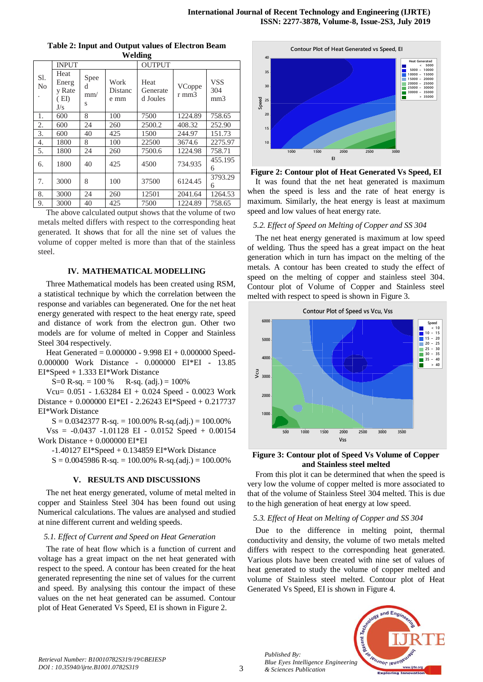| ခ                     |                                        |                       |                         |                              |                 |                                      |  |  |
|-----------------------|----------------------------------------|-----------------------|-------------------------|------------------------------|-----------------|--------------------------------------|--|--|
|                       | <b>INPUT</b>                           |                       |                         | <b>OUTPUT</b>                |                 |                                      |  |  |
| Sl.<br>N <sub>0</sub> | Heat<br>Energ<br>y Rate<br>(EI)<br>J/s | Spee<br>d<br>mm/<br>S | Work<br>Distanc<br>e mm | Heat<br>Generate<br>d Joules | VCoppe<br>r mm3 | <b>VSS</b><br>304<br>mm <sub>3</sub> |  |  |
| 1.                    | 600                                    | 8                     | 100                     | 7500                         | 1224.89         | 758.65                               |  |  |
| 2.                    | 600                                    | 24                    | 260                     | 2500.2                       | 408.32          | 252.90                               |  |  |
| 3.                    | 600                                    | 40                    | 425                     | 1500                         | 244.97          | 151.73                               |  |  |
| 4.                    | 1800                                   | 8                     | 100                     | 22500                        | 3674.6          | 2275.97                              |  |  |
| 5.                    | 1800                                   | 24                    | 260                     | 7500.6                       | 1224.98         | 758.71                               |  |  |
| 6.                    | 1800                                   | 40                    | 425                     | 4500                         | 734.935         | 455.195<br>6                         |  |  |
| 7.                    | 3000                                   | 8                     | 100                     | 37500                        | 6124.45         | 3793.29<br>6                         |  |  |
| 8.                    | 3000                                   | 24                    | 260                     | 12501                        | 2041.64         | 1264.53                              |  |  |
| 9.                    | 3000                                   | 40                    | 425                     | 7500                         | 1224.89         | 758.65                               |  |  |

**Table 2: Input and Output values of Electron Beam Welding**

The above calculated output shows that the volume of two metals melted differs with respect to the corresponding heat generated. It shows that for all the nine set of values the volume of copper melted is more than that of the stainless steel.

### **IV. MATHEMATICAL MODELLING**

Three Mathematical models has been created using RSM, a statistical technique by which the correlation between the response and variables can begenerated. One for the net heat energy generated with respect to the heat energy rate, speed and distance of work from the electron gun. Other two models are for volume of melted in Copper and Stainless Steel 304 respectively.

Heat Generated = 0.000000 - 9.998 EI + 0.000000 Speed-0.000000 Work Distance - 0.000000 EI\*EI - 13.85 EI\*Speed + 1.333 EI\*Work Distance

S=0 R-sq.  $= 100 %$  R-sq. (adj.) = 100%

Vcu= 0.051 - 1.63284 EI + 0.024 Speed - 0.0023 Work Distance + 0.000000 EI\*EI - 2.26243 EI\*Speed + 0.217737 EI\*Work Distance

 $S = 0.0342377 R-sq. = 100.00% R-sq. (adj.) = 100.00%$ 

 $V_{SS} = -0.0437 -1.01128$  EI - 0.0152 Speed + 0.00154 Work Distance + 0.000000 EI\*EI

-1.40127 EI\*Speed + 0.134859 EI\*Work Distance

 $S = 0.0045986 R$ -sq.  $= 100.00% R$ -sq.(adj.)  $= 100.00%$ 

#### **V. RESULTS AND DISCUSSIONS**

The net heat energy generated, volume of metal melted in copper and Stainless Steel 304 has been found out using Numerical calculations. The values are analysed and studied at nine different current and welding speeds.

#### *5.1. Effect of Current and Speed on Heat Generation*

The rate of heat flow which is a function of current and voltage has a great impact on the net heat generated with respect to the speed. A contour has been created for the heat generated representing the nine set of values for the current and speed. By analysing this contour the impact of these values on the net heat generated can be assumed. Contour plot of Heat Generated Vs Speed, EI is shown in Figure 2.



**Figure 2: Contour plot of Heat Generated Vs Speed, EI** It was found that the net heat generated is maximum when the speed is less and the rate of heat energy is maximum. Similarly, the heat energy is least at maximum speed and low values of heat energy rate.

### *5.2. Effect of Speed on Melting of Copper and SS 304*

The net heat energy generated is maximum at low speed of welding. Thus the speed has a great impact on the heat generation which in turn has impact on the melting of the metals. A contour has been created to study the effect of speed on the melting of copper and stainless steel 304. Contour plot of Volume of Copper and Stainless steel melted with respect to speed is shown in Figure 3.



#### **Figure 3: Contour plot of Speed Vs Volume of Copper and Stainless steel melted**

From this plot it can be determined that when the speed is very low the volume of copper melted is more associated to that of the volume of Stainless Steel 304 melted. This is due to the high generation of heat energy at low speed.

#### *5.3. Effect of Heat on Melting of Copper and SS 304*

Due to the difference in melting point, thermal conductivity and density, the volume of two metals melted differs with respect to the corresponding heat generated. Various plots have been created with nine set of values of heat generated to study the volume of copper melted and volume of Stainless steel melted. Contour plot of Heat Generated Vs Speed, EI is shown in Figure 4.



*Published By:*

*& Sciences Publication*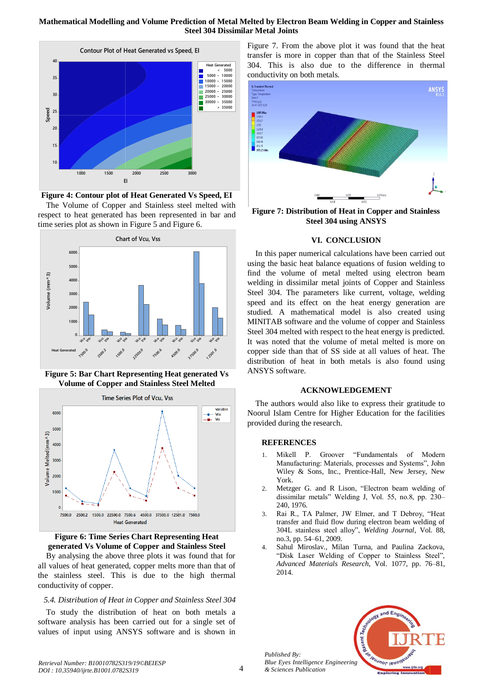## **Mathematical Modelling and Volume Prediction of Metal Melted by Electron Beam Welding in Copper and Stainless Steel 304 Dissimilar Metal Joints**



**Figure 4: Contour plot of Heat Generated Vs Speed, EI**

The Volume of Copper and Stainless steel melted with respect to heat generated has been represented in bar and time series plot as shown in Figure 5 and Figure 6.



**Figure 5: Bar Chart Representing Heat generated Vs Volume of Copper and Stainless Steel Melted**





By analysing the above three plots it was found that for all values of heat generated, copper melts more than that of the stainless steel. This is due to the high thermal conductivity of copper.

## *5.4. Distribution of Heat in Copper and Stainless Steel 304*

To study the distribution of heat on both metals a software analysis has been carried out for a single set of values of input using ANSYS software and is shown in Figure 7. From the above plot it was found that the heat transfer is more in copper than that of the Stainless Steel 304. This is also due to the difference in thermal conductivity on both metals.



**Figure 7: Distribution of Heat in Copper and Stainless Steel 304 using ANSYS**

## **VI. CONCLUSION**

In this paper numerical calculations have been carried out using the basic heat balance equations of fusion welding to find the volume of metal melted using electron beam welding in dissimilar metal joints of Copper and Stainless Steel 304. The parameters like current, voltage, welding speed and its effect on the heat energy generation are studied. A mathematical model is also created using MINITAB software and the volume of copper and Stainless Steel 304 melted with respect to the heat energy is predicted. It was noted that the volume of metal melted is more on copper side than that of SS side at all values of heat. The distribution of heat in both metals is also found using ANSYS software.

## **ACKNOWLEDGEMENT**

The authors would also like to express their gratitude to Noorul Islam Centre for Higher Education for the facilities provided during the research.

## **REFERENCES**

- 1. Mikell P. Groover "Fundamentals of Modern Manufacturing: Materials, processes and Systems", John Wiley & Sons, Inc., Prentice-Hall, New Jersey, New York.
- 2. Metzger G. and R Lison, "Electron beam welding of dissimilar metals" Welding J, Vol. 55, no.8, pp. 230– 240, 1976.
- 3. Rai R., TA Palmer, JW Elmer, and T Debroy, "Heat transfer and fluid flow during electron beam welding of 304L stainless steel alloy", *Welding Journal*, Vol. 88, no.3, pp. 54–61, 2009.
- 4. Sahul Miroslav., Milan Turna, and Paulina Zackova, "Disk Laser Welding of Copper to Stainless Steel", *Advanced Materials Research*, Vol. 1077, pp. 76–81, 2014.



*Published By: Blue Eyes Intelligence Engineering & Sciences Publication*